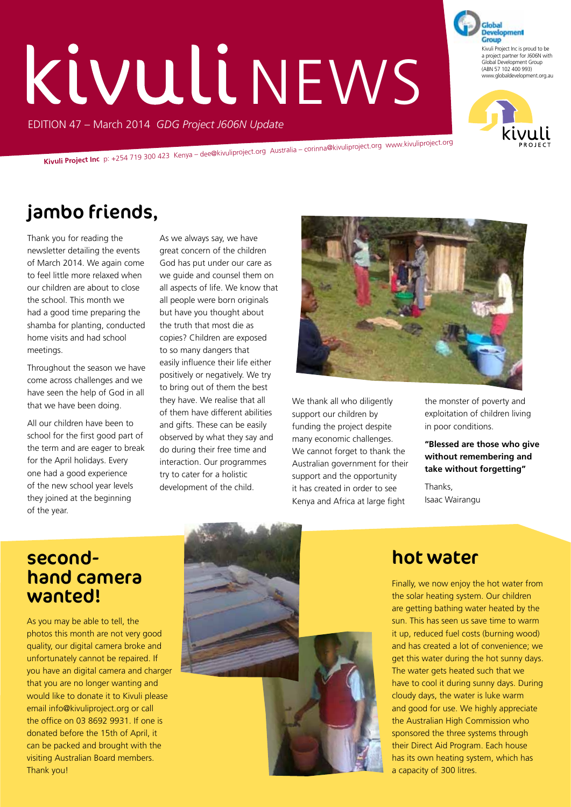# KIVULI NEWS

EDITION 47 – March 2014 *GDG Project J606N Update*

**Kivuli Project Inc** p: +254 719 300 423 Kenya – dee@kivuliproject.org Australia – corinna@kivuliproject.org www.kivuliproject.org

# jambo friends,

Thank you for reading the newsletter detailing the events of March 2014. We again come to feel little more relaxed when our children are about to close the school. This month we had a good time preparing the shamba for planting, conducted home visits and had school meetings.

Throughout the season we have come across challenges and we have seen the help of God in all that we have been doing.

All our children have been to school for the first good part of the term and are eager to break for the April holidays. Every one had a good experience of the new school year levels they joined at the beginning of the year.

As we always say, we have great concern of the children God has put under our care as we guide and counsel them on all aspects of life. We know that all people were born originals but have you thought about the truth that most die as copies? Children are exposed to so many dangers that easily influence their life either positively or negatively. We try to bring out of them the best they have. We realise that all of them have different abilities and gifts. These can be easily observed by what they say and do during their free time and interaction. Our programmes try to cater for a holistic development of the child.



We thank all who diligently support our children by funding the project despite many economic challenges. We cannot forget to thank the Australian government for their support and the opportunity it has created in order to see Kenya and Africa at large fight

the monster of poverty and exploitation of children living in poor conditions.

Kivuli Project Inc is proud to be a project partner for J606N with Global Development Group (ABN 57 102 400 993) www.globaldevelopment.org.au

**Development** Group

**"Blessed are those who give without remembering and take without forgetting"**

Thanks, Isaac Wairangu

#### secondhand camera wanted!

As you may be able to tell, the photos this month are not very good quality, our digital camera broke and unfortunately cannot be repaired. If you have an digital camera and charger that you are no longer wanting and would like to donate it to Kivuli please email info@kivuliproject.org or call the office on 03 8692 9931. If one is donated before the 15th of April, it can be packed and brought with the visiting Australian Board members. Thank you!



#### hot water

Finally, we now enjoy the hot water from the solar heating system. Our children are getting bathing water heated by the sun. This has seen us save time to warm it up, reduced fuel costs (burning wood) and has created a lot of convenience; we get this water during the hot sunny days. The water gets heated such that we have to cool it during sunny days. During cloudy days, the water is luke warm and good for use. We highly appreciate the Australian High Commission who sponsored the three systems through their Direct Aid Program. Each house has its own heating system, which has a capacity of 300 litres.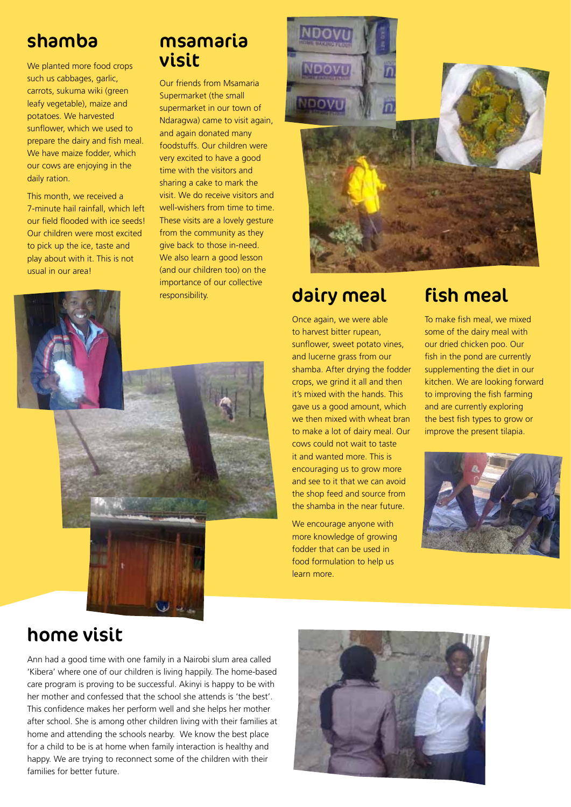#### shamba

We planted more food crops such us cabbages, garlic, carrots, sukuma wiki (green leafy vegetable), maize and potatoes. We harvested sunflower, which we used to prepare the dairy and fish meal. We have maize fodder, which our cows are enjoying in the daily ration.

This month, we received a 7-minute hail rainfall, which left our field flooded with ice seeds! Our children were most excited to pick up the ice, taste and play about with it. This is not usual in our area!

## msamaria visit

Our friends from Msamaria Supermarket (the small supermarket in our town of Ndaragwa) came to visit again, and again donated many foodstuffs. Our children were very excited to have a good time with the visitors and sharing a cake to mark the visit. We do receive visitors and well-wishers from time to time. These visits are a lovely gesture from the community as they give back to those in-need. We also learn a good lesson (and our children too) on the importance of our collective responsibility.



#### dairy meal

Once again, we were able to harvest bitter rupean, sunflower, sweet potato vines, and lucerne grass from our shamba. After drying the fodder crops, we grind it all and then it's mixed with the hands. This gave us a good amount, which we then mixed with wheat bran to make a lot of dairy meal. Our cows could not wait to taste it and wanted more. This is encouraging us to grow more and see to it that we can avoid the shop feed and source from the shamba in the near future.

We encourage anyone with more knowledge of growing fodder that can be used in food formulation to help us learn more.

#### fish meal

To make fish meal, we mixed some of the dairy meal with our dried chicken poo. Our fish in the pond are currently supplementing the diet in our kitchen. We are looking forward to improving the fish farming and are currently exploring the best fish types to grow or improve the present tilapia.







Ann had a good time with one family in a Nairobi slum area called 'Kibera' where one of our children is living happily. The home-based care program is proving to be successful. Akinyi is happy to be with her mother and confessed that the school she attends is 'the best'. This confidence makes her perform well and she helps her mother after school. She is among other children living with their families at home and attending the schools nearby. We know the best place for a child to be is at home when family interaction is healthy and happy. We are trying to reconnect some of the children with their families for better future.